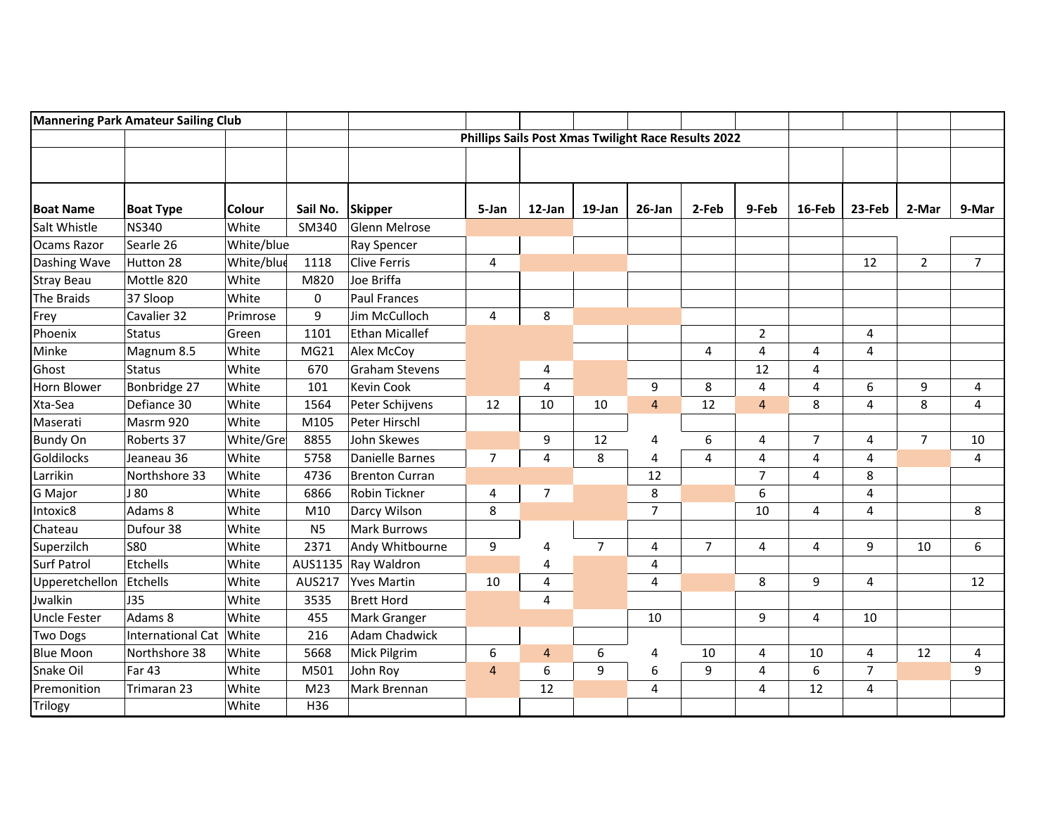| <b>Mannering Park Amateur Sailing Club</b> |                          |               |                |                       |                                                            |                         |                |                |                |                |                |                |                |                |
|--------------------------------------------|--------------------------|---------------|----------------|-----------------------|------------------------------------------------------------|-------------------------|----------------|----------------|----------------|----------------|----------------|----------------|----------------|----------------|
|                                            |                          |               |                |                       | <b>Phillips Sails Post Xmas Twilight Race Results 2022</b> |                         |                |                |                |                |                |                |                |                |
|                                            |                          |               |                |                       |                                                            |                         |                |                |                |                |                |                |                |                |
|                                            |                          |               |                |                       |                                                            |                         |                |                |                |                |                |                |                |                |
|                                            |                          |               |                |                       |                                                            |                         |                |                |                |                |                |                |                |                |
| <b>Boat Name</b>                           | <b>Boat Type</b>         | <b>Colour</b> | Sail No.       | <b>Skipper</b>        | 5-Jan                                                      | 12-Jan                  | 19-Jan         | 26-Jan         | 2-Feb          | 9-Feb          | 16-Feb         | 23-Feb         | 2-Mar          | 9-Mar          |
| Salt Whistle                               | <b>NS340</b>             | White         | SM340          | Glenn Melrose         |                                                            |                         |                |                |                |                |                |                |                |                |
| Ocams Razor                                | Searle 26                | White/blue    |                | Ray Spencer           |                                                            |                         |                |                |                |                |                |                |                |                |
| Dashing Wave                               | Hutton 28                | White/blue    | 1118           | Clive Ferris          | $\overline{4}$                                             |                         |                |                |                |                |                | 12             | $\overline{2}$ | $\overline{7}$ |
| <b>Stray Beau</b>                          | Mottle 820               | White         | M820           | Joe Briffa            |                                                            |                         |                |                |                |                |                |                |                |                |
| <b>The Braids</b>                          | 37 Sloop                 | White         | 0              | <b>Paul Frances</b>   |                                                            |                         |                |                |                |                |                |                |                |                |
| Frey                                       | Cavalier 32              | Primrose      | 9              | Jim McCulloch         | $\overline{4}$                                             | 8                       |                |                |                |                |                |                |                |                |
| Phoenix                                    | <b>Status</b>            | Green         | 1101           | <b>Ethan Micallef</b> |                                                            |                         |                |                |                | $\overline{2}$ |                | 4              |                |                |
| Minke                                      | Magnum 8.5               | White         | MG21           | Alex McCoy            |                                                            |                         |                |                | 4              | 4              | 4              | 4              |                |                |
| Ghost                                      | <b>Status</b>            | White         | 670            | <b>Graham Stevens</b> |                                                            | 4                       |                |                |                | 12             | 4              |                |                |                |
| Horn Blower                                | Bonbridge 27             | White         | 101            | <b>Kevin Cook</b>     |                                                            | $\overline{\mathbf{4}}$ |                | 9              | 8              | 4              | 4              | 6              | 9              | 4              |
| Xta-Sea                                    | Defiance 30              | White         | 1564           | Peter Schijvens       | 12                                                         | 10                      | 10             | $\overline{4}$ | 12             | $\overline{4}$ | 8              | 4              | 8              | 4              |
| Maserati                                   | Masrm 920                | White         | M105           | Peter Hirschl         |                                                            |                         |                |                |                |                |                |                |                |                |
| <b>Bundy On</b>                            | Roberts 37               | White/Gre     | 8855           | John Skewes           |                                                            | 9                       | 12             | 4              | 6              | 4              | $\overline{7}$ | 4              | $\overline{7}$ | 10             |
| Goldilocks                                 | Jeaneau 36               | White         | 5758           | Danielle Barnes       | $\overline{7}$                                             | 4                       | 8              | 4              | 4              | 4              | 4              | 4              |                | 4              |
| Larrikin                                   | Northshore 33            | White         | 4736           | <b>Brenton Curran</b> |                                                            |                         |                | 12             |                | $\overline{7}$ | $\overline{4}$ | 8              |                |                |
| <b>G</b> Major                             | J 80                     | White         | 6866           | Robin Tickner         | 4                                                          | $\overline{7}$          |                | 8              |                | 6              |                | 4              |                |                |
| Intoxic8                                   | Adams 8                  | White         | M10            | Darcy Wilson          | 8                                                          |                         |                | $\overline{7}$ |                | 10             | 4              | 4              |                | 8              |
| Chateau                                    | Dufour 38                | White         | N <sub>5</sub> | Mark Burrows          |                                                            |                         |                |                |                |                |                |                |                |                |
| Superzilch                                 | <b>S80</b>               | White         | 2371           | Andy Whitbourne       | 9                                                          | 4                       | $\overline{7}$ | 4              | $\overline{7}$ | 4              | 4              | 9              | 10             | 6              |
| <b>Surf Patrol</b>                         | Etchells                 | White         | AUS1135        | Ray Waldron           |                                                            | 4                       |                | 4              |                |                |                |                |                |                |
| Upperetchellon                             | Etchells                 | White         | <b>AUS217</b>  | <b>Yves Martin</b>    | 10                                                         | $\overline{\mathbf{4}}$ |                | $\overline{4}$ |                | 8              | 9              | 4              |                | 12             |
| Jwalkin                                    | J35                      | White         | 3535           | Brett Hord            |                                                            | $\overline{4}$          |                |                |                |                |                |                |                |                |
| <b>Uncle Fester</b>                        | Adams 8                  | White         | 455            | Mark Granger          |                                                            |                         |                | 10             |                | 9              | 4              | 10             |                |                |
| <b>Two Dogs</b>                            | <b>International Cat</b> | White         | 216            | <b>Adam Chadwick</b>  |                                                            |                         |                |                |                |                |                |                |                |                |
| <b>Blue Moon</b>                           | Northshore 38            | White         | 5668           | Mick Pilgrim          | 6                                                          | $\overline{4}$          | 6              | 4              | 10             | 4              | $10\,$         | 4              | 12             | 4              |
| Snake Oil                                  | <b>Far 43</b>            | White         | M501           | John Roy              | $\overline{4}$                                             | 6                       | 9              | 6              | 9              | 4              | 6              | $\overline{7}$ |                | 9              |
| Premonition                                | Trimaran 23              | White         | M23            | Mark Brennan          |                                                            | 12                      |                | 4              |                | 4              | 12             | 4              |                |                |
| Trilogy                                    |                          | White         | H36            |                       |                                                            |                         |                |                |                |                |                |                |                |                |